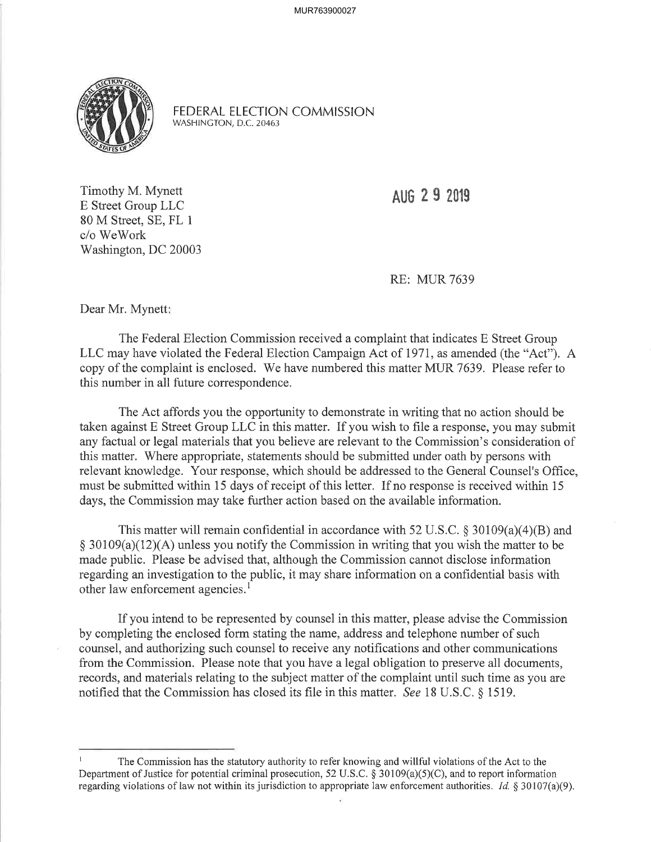MUR763900027



FEDERAL ELECTION COMMISSION WASHINCTON, D.C.20463

Timothy M. Mynett E Street Group LLC 80 M Street, SE, FL <sup>1</sup> c/o WeWork Washington, DC 20003

AUG 2 9 2019

RE: MUR 7639

Dear Mr. Mynett:

The Federal Election Commission received a complaint that indicates E Street Group LLC may have violated the Federal Election Campaign Act of 1971, as amended (the "Act"). A copy of the complaint is enclosed. 'We have numbered this matter MUR 7639. Please refer to this number in all future correspondence.

The Act affords you the opportunity to demonstrate in writing that no action should be taken against E Street Group LLC in this matter. If you wish to file a response, you may submit any factual or legal materials that you believe are relevant to the Commission's consideration of this matter. Where appropriate, statements should be submitted under oath by persons with relevant knowledge. Your response, which should be addressed to the General Counsel's Office, must be submitted within 15 days of receipt of this letter. If no response is received within 15 days, the Commission may take further action based on the available information.

This matter will remain confidential in accordance with 52 U.S.C.  $\S 30109(a)(4)(B)$  and  $§ 30109(a)(12)(A)$  unless you notify the Commission in writing that you wish the matter to be made public. Please be advised that, although the Commission cannot disclose information regarding an investigation to the public, it may share information on a confidential basis with other law enforcement agencies.<sup>1</sup>

If you intend to be represented by counsel in this matter, please advise the Commission by completing the enclosed form stating the name, address and telephone number of such counsel, and authorizing such counsel to receive any notifications and other communications from the Commission. Please note that you have a legal obligation to preserve all documents, records, and materials relating to the subject matter of the complaint until such time as you are notified that the Commission has closed its file in this matter. See 18 U.S.C. § 1519.

The Commission has the statutory authority to refer knowing and willful violations of the Act to the Department of Justice for potential criminal prosecution, 52 U.S.C.  $\S$  30109(a)(5)(C), and to report information regarding violations of law not within its jurisdiction to appropriate law enforcement authorities. *Id.*  $§ 30107(a)(9)$ .